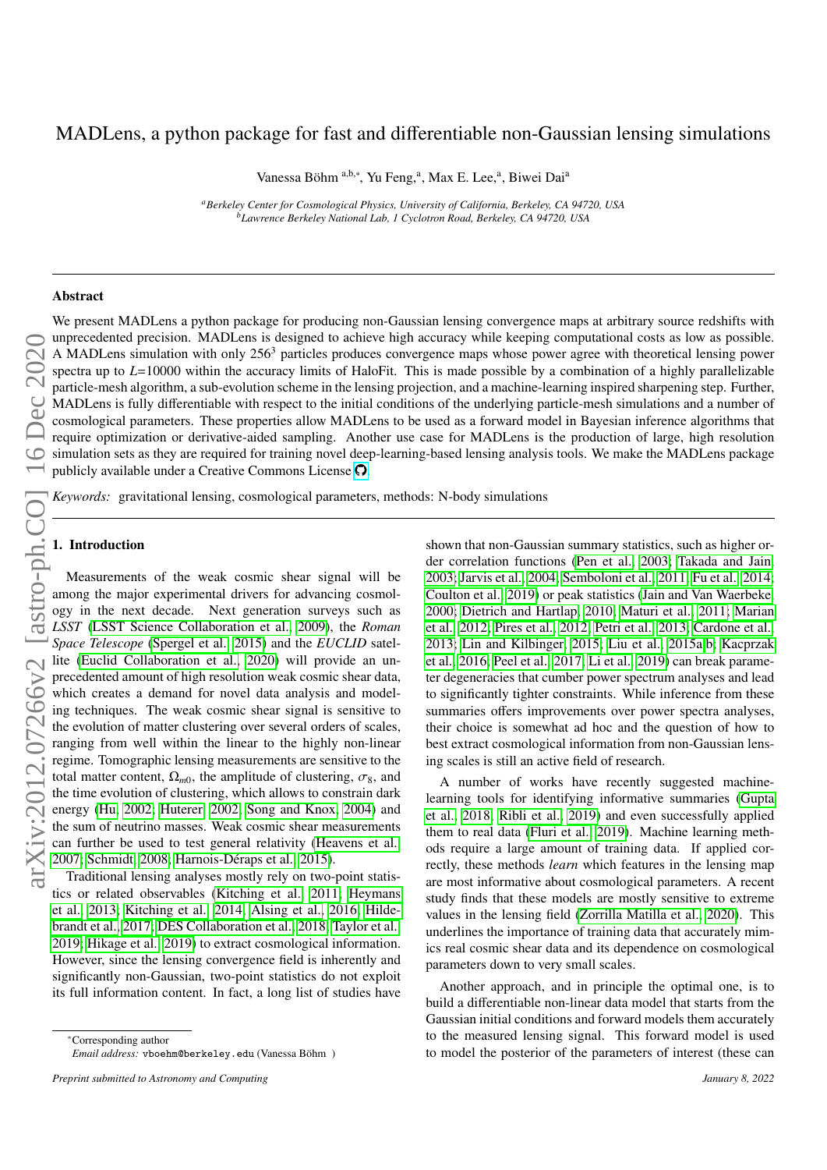# MADLens, a python package for fast and differentiable non-Gaussian lensing simulations

Vanessa Böhm<sup>a,b,∗</sup>, Yu Feng,<sup>a</sup>, Max E. Lee,<sup>a</sup>, Biwei Dai<sup>a</sup>

*<sup>a</sup>Berkeley Center for Cosmological Physics, University of California, Berkeley, CA 94720, USA <sup>b</sup>Lawrence Berkeley National Lab, 1 Cyclotron Road, Berkeley, CA 94720, USA*

## Abstract

We present MADLens a python package for producing non-Gaussian lensing convergence maps at arbitrary source redshifts with unprecedented precision. MADLens is designed to achieve high accuracy while keeping computational costs as low as possible. A MADLens simulation with only  $256<sup>3</sup>$  particles produces convergence maps whose power agree with theoretical lensing power spectra up to *L*=10000 within the accuracy limits of HaloFit. This is made possible by a combination of a highly parallelizable particle-mesh algorithm, a sub-evolution scheme in the lensing projection, and a machine-learning inspired sharpening step. Further, MADLens is fully differentiable with respect to the initial conditions of the underlying particle-mesh simulations and a number of cosmological parameters. These properties allow MADLens to be used as a forward model in Bayesian inference algorithms that require optimization or derivative-aided sampling. Another use case for MADLens is the production of large, high resolution simulation sets as they are required for training novel deep-learning-based lensing analysis tools. We make the MADLens package publicly available under a Creative Commons License  $\Omega$ .

*Keywords:* gravitational lensing, cosmological parameters, methods: N-body simulations

### 1. Introduction

Measurements of the weak cosmic shear signal will be among the major experimental drivers for advancing cosmology in the next decade. Next generation surveys such as *LSST* [\(LSST Science Collaboration et al., 2009\)](#page-8-0), the *Roman Space Telescope* [\(Spergel et al., 2015\)](#page-9-0) and the *EUCLID* satellite [\(Euclid Collaboration et al., 2020\)](#page-8-1) will provide an unprecedented amount of high resolution weak cosmic shear data, which creates a demand for novel data analysis and modeling techniques. The weak cosmic shear signal is sensitive to the evolution of matter clustering over several orders of scales, ranging from well within the linear to the highly non-linear regime. Tomographic lensing measurements are sensitive to the total matter content,  $\Omega_{m0}$ , the amplitude of clustering,  $\sigma_8$ , and the time evolution of clustering, which allows to constrain dark energy [\(Hu, 2002;](#page-8-2) [Huterer, 2002;](#page-8-3) [Song and Knox, 2004\)](#page-9-1) and the sum of neutrino masses. Weak cosmic shear measurements can further be used to test general relativity [\(Heavens et al.,](#page-8-4) [2007;](#page-8-4) [Schmidt, 2008;](#page-9-2) Harnois-Déraps et al., 2015).

Traditional lensing analyses mostly rely on two-point statistics or related observables [\(Kitching et al., 2011;](#page-8-6) [Heymans](#page-8-7) [et al., 2013;](#page-8-7) [Kitching et al., 2014;](#page-8-8) [Alsing et al., 2016;](#page-7-0) [Hilde](#page-8-9)[brandt et al., 2017;](#page-8-9) [DES Collaboration et al., 2018;](#page-8-10) [Taylor et al.,](#page-9-3) [2019;](#page-9-3) [Hikage et al., 2019\)](#page-8-11) to extract cosmological information. However, since the lensing convergence field is inherently and significantly non-Gaussian, two-point statistics do not exploit its full information content. In fact, a long list of studies have shown that non-Gaussian summary statistics, such as higher order correlation functions [\(Pen et al., 2003;](#page-9-4) [Takada and Jain,](#page-9-5) [2003;](#page-9-5) [Jarvis et al., 2004;](#page-8-12) [Semboloni et al., 2011;](#page-9-6) [Fu et al., 2014;](#page-8-13) [Coulton et al., 2019\)](#page-8-14) or peak statistics [\(Jain and Van Waerbeke,](#page-8-15) [2000;](#page-8-15) [Dietrich and Hartlap, 2010;](#page-8-16) [Maturi et al., 2011;](#page-8-17) [Marian](#page-8-18) [et al., 2012;](#page-8-18) [Pires et al., 2012;](#page-9-7) [Petri et al., 2013;](#page-9-8) [Cardone et al.,](#page-8-19) [2013;](#page-8-19) [Lin and Kilbinger, 2015;](#page-8-20) [Liu et al., 2015a](#page-8-21)[,b;](#page-8-22) [Kacprzak](#page-8-23) [et al., 2016;](#page-8-23) [Peel et al., 2017;](#page-8-24) [Li et al., 2019\)](#page-8-25) can break parameter degeneracies that cumber power spectrum analyses and lead to significantly tighter constraints. While inference from these summaries offers improvements over power spectra analyses, their choice is somewhat ad hoc and the question of how to best extract cosmological information from non-Gaussian lensing scales is still an active field of research.

A number of works have recently suggested machinelearning tools for identifying informative summaries [\(Gupta](#page-8-26) [et al., 2018;](#page-8-26) [Ribli et al., 2019\)](#page-9-9) and even successfully applied them to real data [\(Fluri et al., 2019\)](#page-8-27). Machine learning methods require a large amount of training data. If applied correctly, these methods *learn* which features in the lensing map are most informative about cosmological parameters. A recent study finds that these models are mostly sensitive to extreme values in the lensing field [\(Zorrilla Matilla et al., 2020\)](#page-9-10). This underlines the importance of training data that accurately mimics real cosmic shear data and its dependence on cosmological parameters down to very small scales.

Another approach, and in principle the optimal one, is to build a differentiable non-linear data model that starts from the Gaussian initial conditions and forward models them accurately to the measured lensing signal. This forward model is used to model the posterior of the parameters of interest (these can

<sup>∗</sup>Corresponding author *Email address:* vboehm@berkeley.edu (Vanessa Bohm ) ¨

*Preprint submitted to Astronomy and Computing January 8, 2022*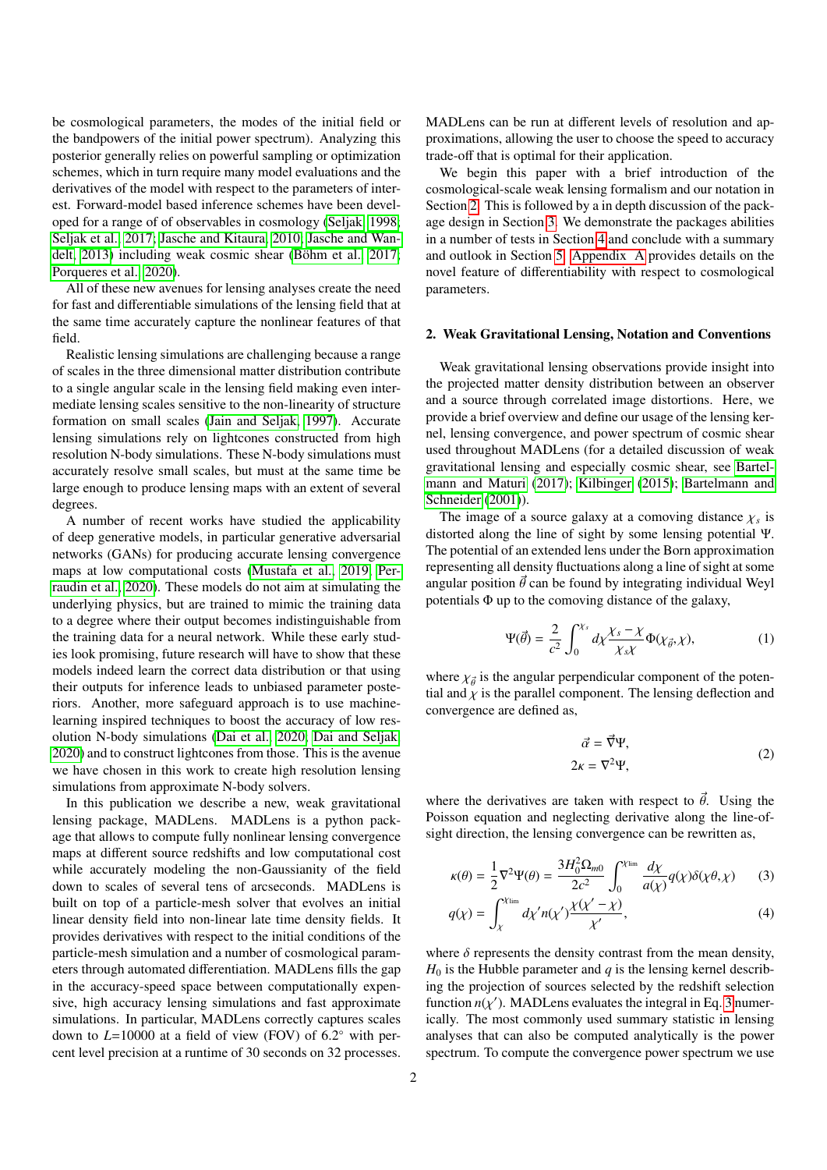be cosmological parameters, the modes of the initial field or the bandpowers of the initial power spectrum). Analyzing this posterior generally relies on powerful sampling or optimization schemes, which in turn require many model evaluations and the derivatives of the model with respect to the parameters of interest. Forward-model based inference schemes have been developed for a range of of observables in cosmology [\(Seljak, 1998;](#page-9-11) [Seljak et al., 2017;](#page-9-12) [Jasche and Kitaura, 2010;](#page-8-28) [Jasche and Wan](#page-8-29)[delt, 2013\)](#page-8-29) including weak cosmic shear (Böhm et al., 2017; [Porqueres et al., 2020\)](#page-9-13).

All of these new avenues for lensing analyses create the need for fast and differentiable simulations of the lensing field that at the same time accurately capture the nonlinear features of that field.

Realistic lensing simulations are challenging because a range of scales in the three dimensional matter distribution contribute to a single angular scale in the lensing field making even intermediate lensing scales sensitive to the non-linearity of structure formation on small scales [\(Jain and Seljak, 1997\)](#page-8-31). Accurate lensing simulations rely on lightcones constructed from high resolution N-body simulations. These N-body simulations must accurately resolve small scales, but must at the same time be large enough to produce lensing maps with an extent of several degrees.

A number of recent works have studied the applicability of deep generative models, in particular generative adversarial networks (GANs) for producing accurate lensing convergence maps at low computational costs [\(Mustafa et al., 2019;](#page-8-32) [Per](#page-9-14)[raudin et al., 2020\)](#page-9-14). These models do not aim at simulating the underlying physics, but are trained to mimic the training data to a degree where their output becomes indistinguishable from the training data for a neural network. While these early studies look promising, future research will have to show that these models indeed learn the correct data distribution or that using their outputs for inference leads to unbiased parameter posteriors. Another, more safeguard approach is to use machinelearning inspired techniques to boost the accuracy of low resolution N-body simulations [\(Dai et al., 2020;](#page-8-33) [Dai and Seljak,](#page-8-34) [2020\)](#page-8-34) and to construct lightcones from those. This is the avenue we have chosen in this work to create high resolution lensing simulations from approximate N-body solvers.

In this publication we describe a new, weak gravitational lensing package, MADLens. MADLens is a python package that allows to compute fully nonlinear lensing convergence maps at different source redshifts and low computational cost while accurately modeling the non-Gaussianity of the field down to scales of several tens of arcseconds. MADLens is built on top of a particle-mesh solver that evolves an initial linear density field into non-linear late time density fields. It provides derivatives with respect to the initial conditions of the particle-mesh simulation and a number of cosmological parameters through automated differentiation. MADLens fills the gap in the accuracy-speed space between computationally expensive, high accuracy lensing simulations and fast approximate simulations. In particular, MADLens correctly captures scales down to  $L=10000$  at a field of view (FOV) of  $6.2^{\circ}$  with per-<br>cent level precision at a runtime of  $30$  seconds on  $32$  processes cent level precision at a runtime of 30 seconds on 32 processes.

MADLens can be run at different levels of resolution and approximations, allowing the user to choose the speed to accuracy trade-off that is optimal for their application.

We begin this paper with a brief introduction of the cosmological-scale weak lensing formalism and our notation in Section [2.](#page-1-0) This is followed by a in depth discussion of the package design in Section [3.](#page-2-0) We demonstrate the packages abilities in a number of tests in Section [4](#page-2-1) and conclude with a summary and outlook in Section [5.](#page-5-0) [Appendix A](#page-5-1) provides details on the novel feature of differentiability with respect to cosmological parameters.

#### <span id="page-1-0"></span>2. Weak Gravitational Lensing, Notation and Conventions

Weak gravitational lensing observations provide insight into the projected matter density distribution between an observer and a source through correlated image distortions. Here, we provide a brief overview and define our usage of the lensing kernel, lensing convergence, and power spectrum of cosmic shear used throughout MADLens (for a detailed discussion of weak gravitational lensing and especially cosmic shear, see [Bartel](#page-8-35)[mann and Maturi](#page-8-35) [\(2017\)](#page-8-35); [Kilbinger](#page-8-36) [\(2015\)](#page-8-36); [Bartelmann and](#page-8-37) [Schneider](#page-8-37) [\(2001\)](#page-8-37)).

The image of a source galaxy at a comoving distance  $\chi_s$  is<br>storted along the line of sight by some lensing potential  $\Psi$ distorted along the line of sight by some lensing potential Ψ. The potential of an extended lens under the Born approximation representing all density fluctuations along a line of sight at some angular position  $\vec{\theta}$  can be found by integrating individual Weyl potentials  $\Phi$  up to the comoving distance of the galaxy,

$$
\Psi(\vec{\theta}) = \frac{2}{c^2} \int_0^{\chi_s} d\chi \frac{\chi_s - \chi}{\chi_s \chi} \Phi(\chi_{\vec{\theta}}, \chi), \tag{1}
$$

where  $\chi_{\vec{\theta}}$  is the angular perpendicular component of the potential and  $\chi$  is the parallel component. The lensing deflection and tial and  $\chi$  is the parallel component. The lensing deflection and convergence are defined as,

<span id="page-1-1"></span>
$$
\vec{\alpha} = \vec{\nabla}\Psi,
$$
  
\n
$$
2\kappa = \nabla^2\Psi,
$$
\n(2)

where the derivatives are taken with respect to  $\vec{\theta}$ . Using the Poisson equation and neglecting derivative along the line-ofsight direction, the lensing convergence can be rewritten as,

$$
\kappa(\theta) = \frac{1}{2} \nabla^2 \Psi(\theta) = \frac{3H_0^2 \Omega_{m0}}{2c^2} \int_0^{\chi_{\text{lim}}} \frac{d\chi}{a(\chi)} q(\chi) \delta(\chi \theta, \chi) \tag{3}
$$

$$
q(\chi) = \int_{\chi}^{\chi_{\text{lim}}} d\chi' n(\chi') \frac{\chi(\chi' - \chi)}{\chi'}, \tag{4}
$$

where  $\delta$  represents the density contrast from the mean density,  $H_0$  is the Hubble parameter and *q* is the lensing kernel describing the projection of sources selected by the redshift selection function  $n(\chi')$ . MADLens evaluates the integral in Eq. [3](#page-1-1) numer-<br>ically. The most commonly used summary statistic in lensing ically. The most commonly used summary statistic in lensing analyses that can also be computed analytically is the power spectrum. To compute the convergence power spectrum we use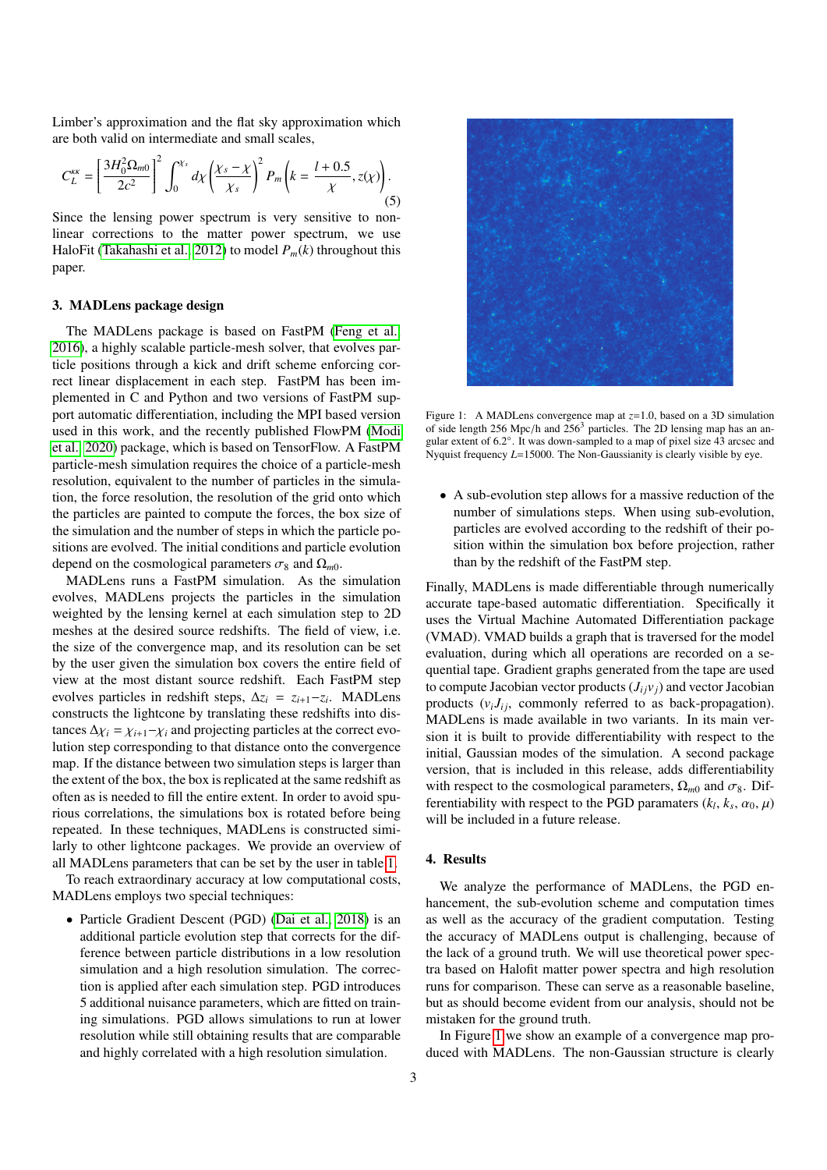Limber's approximation and the flat sky approximation which are both valid on intermediate and small scales,

<span id="page-2-3"></span>
$$
C_L^{k\kappa} = \left[\frac{3H_0^2 \Omega_{m0}}{2c^2}\right]^2 \int_0^{\chi_s} d\chi \left(\frac{\chi_s - \chi}{\chi_s}\right)^2 P_m \left(k = \frac{l + 0.5}{\chi}, z(\chi)\right). \tag{5}
$$

Since the lensing power spectrum is very sensitive to nonlinear corrections to the matter power spectrum, we use HaloFit [\(Takahashi et al., 2012\)](#page-9-15) to model  $P_m(k)$  throughout this paper.

#### <span id="page-2-0"></span>3. MADLens package design

The MADLens package is based on FastPM [\(Feng et al.,](#page-8-38) [2016\)](#page-8-38), a highly scalable particle-mesh solver, that evolves particle positions through a kick and drift scheme enforcing correct linear displacement in each step. FastPM has been implemented in C and Python and two versions of FastPM support automatic differentiation, including the MPI based version used in this work, and the recently published FlowPM [\(Modi](#page-8-39) [et al., 2020\)](#page-8-39) package, which is based on TensorFlow. A FastPM particle-mesh simulation requires the choice of a particle-mesh resolution, equivalent to the number of particles in the simulation, the force resolution, the resolution of the grid onto which the particles are painted to compute the forces, the box size of the simulation and the number of steps in which the particle positions are evolved. The initial conditions and particle evolution depend on the cosmological parameters  $\sigma_8$  and  $\Omega_{m0}$ .

MADLens runs a FastPM simulation. As the simulation evolves, MADLens projects the particles in the simulation weighted by the lensing kernel at each simulation step to 2D meshes at the desired source redshifts. The field of view, i.e. the size of the convergence map, and its resolution can be set by the user given the simulation box covers the entire field of view at the most distant source redshift. Each FastPM step evolves particles in redshift steps, ∆*z<sup>i</sup>* = *z<sup>i</sup>*+1−*z<sup>i</sup>* . MADLens constructs the lightcone by translating these redshifts into distances  $\Delta \chi_i = \chi_{i+1} - \chi_i$  and projecting particles at the correct evolution step corresponding to that distance onto the convergence map. If the distance between two simulation steps is larger than the extent of the box, the box is replicated at the same redshift as often as is needed to fill the entire extent. In order to avoid spurious correlations, the simulations box is rotated before being repeated. In these techniques, MADLens is constructed similarly to other lightcone packages. We provide an overview of all MADLens parameters that can be set by the user in table [1.](#page-3-0)

To reach extraordinary accuracy at low computational costs, MADLens employs two special techniques:

• Particle Gradient Descent (PGD) [\(Dai et al., 2018\)](#page-8-40) is an additional particle evolution step that corrects for the difference between particle distributions in a low resolution simulation and a high resolution simulation. The correction is applied after each simulation step. PGD introduces 5 additional nuisance parameters, which are fitted on training simulations. PGD allows simulations to run at lower resolution while still obtaining results that are comparable and highly correlated with a high resolution simulation.



Figure 1: A MADLens convergence map at *<sup>z</sup>*=1.0, based on a 3D simulation of side length 256 Mpc/h and 256<sup>3</sup> particles. The 2D lensing map has an angular extent of  $6.2^{\circ}$ . It was down-sampled to a map of pixel size 43 arcsec and<br>Nyquist frequency  $I = 15000$ . The Non-Gaussianity is clearly visible by eye Nyquist frequency *L*=15000. The Non-Gaussianity is clearly visible by eye.

<span id="page-2-2"></span>• A sub-evolution step allows for a massive reduction of the number of simulations steps. When using sub-evolution, particles are evolved according to the redshift of their position within the simulation box before projection, rather than by the redshift of the FastPM step.

Finally, MADLens is made differentiable through numerically accurate tape-based automatic differentiation. Specifically it uses the Virtual Machine Automated Differentiation package (VMAD). VMAD builds a graph that is traversed for the model evaluation, during which all operations are recorded on a sequential tape. Gradient graphs generated from the tape are used to compute Jacobian vector products  $(J_{ij}v_j)$  and vector Jacobian products  $(v_i J_{ij},$  commonly referred to as back-propagation). MADLens is made available in two variants. In its main version it is built to provide differentiability with respect to the initial, Gaussian modes of the simulation. A second package version, that is included in this release, adds differentiability with respect to the cosmological parameters,  $\Omega_{m0}$  and  $\sigma_8$ . Differentiability with respect to the PGD paramaters  $(k_l, k_s, \alpha_0, \mu)$ <br>will be included in a future release will be included in a future release.

# <span id="page-2-1"></span>4. Results

We analyze the performance of MADLens, the PGD enhancement, the sub-evolution scheme and computation times as well as the accuracy of the gradient computation. Testing the accuracy of MADLens output is challenging, because of the lack of a ground truth. We will use theoretical power spectra based on Halofit matter power spectra and high resolution runs for comparison. These can serve as a reasonable baseline, but as should become evident from our analysis, should not be mistaken for the ground truth.

In Figure [1](#page-2-2) we show an example of a convergence map produced with MADLens. The non-Gaussian structure is clearly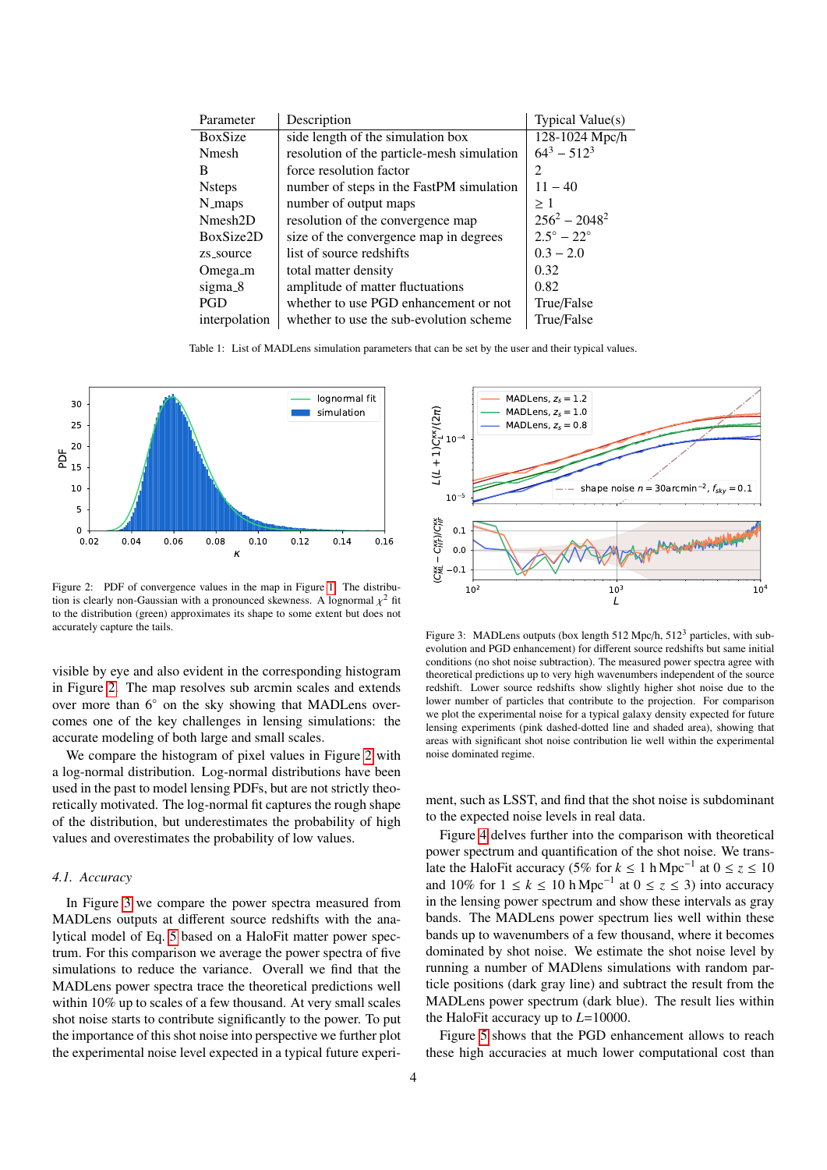| Parameter            | Description                                | Typical Value(s)           |
|----------------------|--------------------------------------------|----------------------------|
| BoxSize              | side length of the simulation box          | 128-1024 Mpc/h             |
| <b>N</b> mesh        | resolution of the particle-mesh simulation | $64^3 - 512^3$             |
| B                    | force resolution factor                    | $\mathfrak{D}$             |
| <b>N</b> steps       | number of steps in the FastPM simulation   | $11 - 40$                  |
| N_maps               | number of output maps                      | >1                         |
| Nmesh <sub>2</sub> D | resolution of the convergence map          | $256^2 - 2048^2$           |
| BoxSize2D            | size of the convergence map in degrees     | $2.5^{\circ} - 22^{\circ}$ |
| zs_source            | list of source redshifts                   | $0.3 - 2.0$                |
| Omega_m              | total matter density                       | 0.32                       |
| sigma_8              | amplitude of matter fluctuations           | 0.82                       |
| <b>PGD</b>           | whether to use PGD enhancement or not      | True/False                 |
| interpolation        | whether to use the sub-evolution scheme    | True/False                 |

<span id="page-3-0"></span>Table 1: List of MADLens simulation parameters that can be set by the user and their typical values.



<span id="page-3-1"></span>Figure 2: PDF of convergence values in the map in Figure [1.](#page-2-2) The distribution is clearly non-Gaussian with a pronounced skewness. A lognormal  $\chi^2$  fit<br>to the distribution (green) approximates its shape to some extent but does not to the distribution (green) approximates its shape to some extent but does not accurately capture the tails.

visible by eye and also evident in the corresponding histogram in Figure [2.](#page-3-1) The map resolves sub arcmin scales and extends over more than 6◦ on the sky showing that MADLens overcomes one of the key challenges in lensing simulations: the accurate modeling of both large and small scales.

We compare the histogram of pixel values in Figure [2](#page-3-1) with a log-normal distribution. Log-normal distributions have been used in the past to model lensing PDFs, but are not strictly theoretically motivated. The log-normal fit captures the rough shape of the distribution, but underestimates the probability of high values and overestimates the probability of low values.

## <span id="page-3-3"></span>*4.1. Accuracy*

In Figure [3](#page-3-2) we compare the power spectra measured from MADLens outputs at different source redshifts with the analytical model of Eq. [5](#page-2-3) based on a HaloFit matter power spectrum. For this comparison we average the power spectra of five simulations to reduce the variance. Overall we find that the MADLens power spectra trace the theoretical predictions well within 10% up to scales of a few thousand. At very small scales shot noise starts to contribute significantly to the power. To put the importance of this shot noise into perspective we further plot the experimental noise level expected in a typical future experi-



<span id="page-3-2"></span>Figure 3: MADLens outputs (box length 512 Mpc/h,  $512<sup>3</sup>$  particles, with subevolution and PGD enhancement) for different source redshifts but same initial conditions (no shot noise subtraction). The measured power spectra agree with theoretical predictions up to very high wavenumbers independent of the source redshift. Lower source redshifts show slightly higher shot noise due to the lower number of particles that contribute to the projection. For comparison we plot the experimental noise for a typical galaxy density expected for future lensing experiments (pink dashed-dotted line and shaded area), showing that areas with significant shot noise contribution lie well within the experimental noise dominated regime.

ment, such as LSST, and find that the shot noise is subdominant to the expected noise levels in real data.

Figure [4](#page-4-0) delves further into the comparison with theoretical power spectrum and quantification of the shot noise. We translate the HaloFit accuracy (5% for  $k \le 1$  h Mpc<sup>-1</sup> at  $0 \le z \le 10$ and 10% for  $1 \le k \le 10$  hMpc<sup>-1</sup> at  $0 \le z \le 3$ ) into accuracy in the lensing power spectrum and show these intervals as gray bands. The MADLens power spectrum lies well within these bands up to wavenumbers of a few thousand, where it becomes dominated by shot noise. We estimate the shot noise level by running a number of MADlens simulations with random particle positions (dark gray line) and subtract the result from the MADLens power spectrum (dark blue). The result lies within the HaloFit accuracy up to *L*=10000.

Figure [5](#page-4-1) shows that the PGD enhancement allows to reach these high accuracies at much lower computational cost than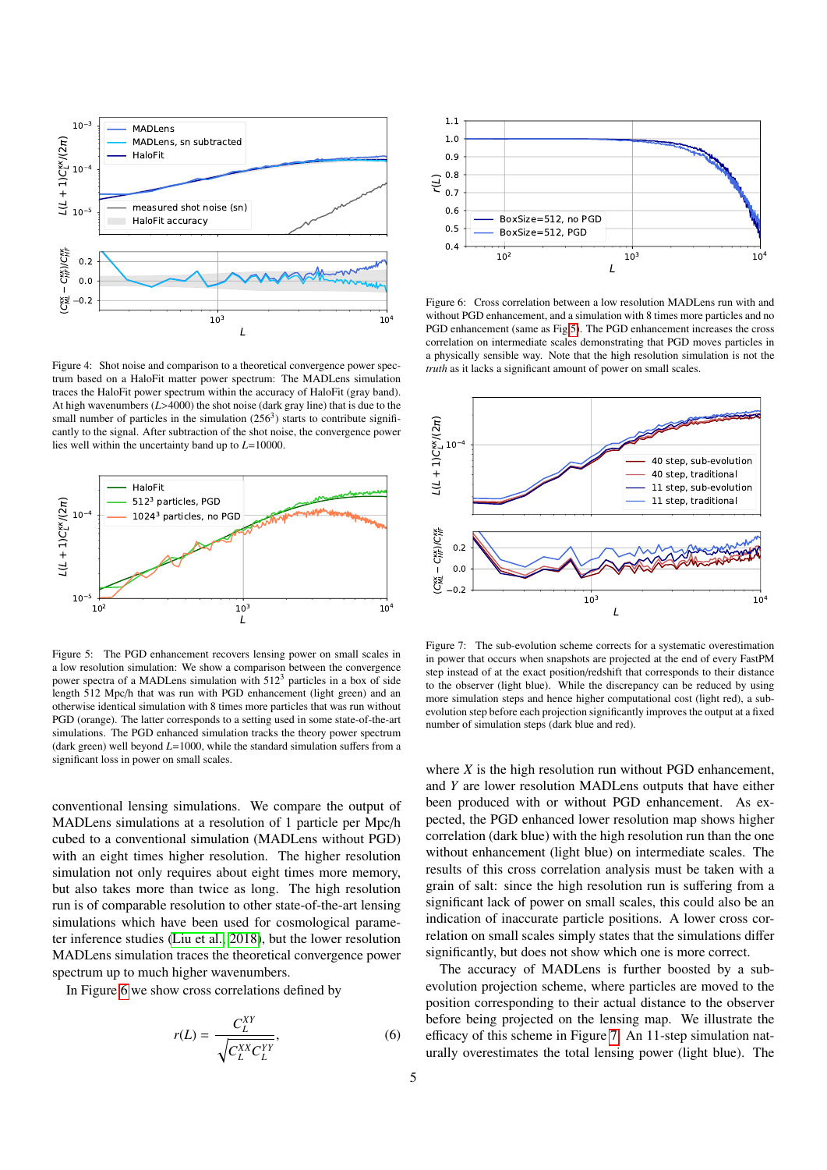

<span id="page-4-0"></span>Figure 4: Shot noise and comparison to a theoretical convergence power spectrum based on a HaloFit matter power spectrum: The MADLens simulation traces the HaloFit power spectrum within the accuracy of HaloFit (gray band). At high wavenumbers (*L*>4000) the shot noise (dark gray line) that is due to the small number of particles in the simulation  $(256<sup>3</sup>)$  starts to contribute significantly to the signal. After subtraction of the shot noise, the convergence power lies well within the uncertainty band up to *L*=10000.



<span id="page-4-1"></span>Figure 5: The PGD enhancement recovers lensing power on small scales in a low resolution simulation: We show a comparison between the convergence power spectra of a MADLens simulation with 512<sup>3</sup> particles in a box of side length 512 Mpc/h that was run with PGD enhancement (light green) and an otherwise identical simulation with 8 times more particles that was run without PGD (orange). The latter corresponds to a setting used in some state-of-the-art simulations. The PGD enhanced simulation tracks the theory power spectrum (dark green) well beyond *L*=1000, while the standard simulation suffers from a significant loss in power on small scales.

conventional lensing simulations. We compare the output of MADLens simulations at a resolution of 1 particle per Mpc/h cubed to a conventional simulation (MADLens without PGD) with an eight times higher resolution. The higher resolution simulation not only requires about eight times more memory, but also takes more than twice as long. The high resolution run is of comparable resolution to other state-of-the-art lensing simulations which have been used for cosmological parameter inference studies [\(Liu et al., 2018\)](#page-8-41), but the lower resolution MADLens simulation traces the theoretical convergence power spectrum up to much higher wavenumbers.

In Figure [6](#page-4-2) we show cross correlations defined by

$$
r(L) = \frac{C_L^{XY}}{\sqrt{C_L^{XX} C_L^{YY}}},\tag{6}
$$



<span id="page-4-2"></span>Figure 6: Cross correlation between a low resolution MADLens run with and without PGD enhancement, and a simulation with 8 times more particles and no PGD enhancement (same as Fig [5\)](#page-4-1). The PGD enhancement increases the cross correlation on intermediate scales demonstrating that PGD moves particles in a physically sensible way. Note that the high resolution simulation is not the *truth* as it lacks a significant amount of power on small scales.



<span id="page-4-3"></span>Figure 7: The sub-evolution scheme corrects for a systematic overestimation in power that occurs when snapshots are projected at the end of every FastPM step instead of at the exact position/redshift that corresponds to their distance to the observer (light blue). While the discrepancy can be reduced by using more simulation steps and hence higher computational cost (light red), a subevolution step before each projection significantly improves the output at a fixed number of simulation steps (dark blue and red).

where *X* is the high resolution run without PGD enhancement, and *Y* are lower resolution MADLens outputs that have either been produced with or without PGD enhancement. As expected, the PGD enhanced lower resolution map shows higher correlation (dark blue) with the high resolution run than the one without enhancement (light blue) on intermediate scales. The results of this cross correlation analysis must be taken with a grain of salt: since the high resolution run is suffering from a significant lack of power on small scales, this could also be an indication of inaccurate particle positions. A lower cross correlation on small scales simply states that the simulations differ significantly, but does not show which one is more correct.

The accuracy of MADLens is further boosted by a subevolution projection scheme, where particles are moved to the position corresponding to their actual distance to the observer before being projected on the lensing map. We illustrate the efficacy of this scheme in Figure [7.](#page-4-3) An 11-step simulation naturally overestimates the total lensing power (light blue). The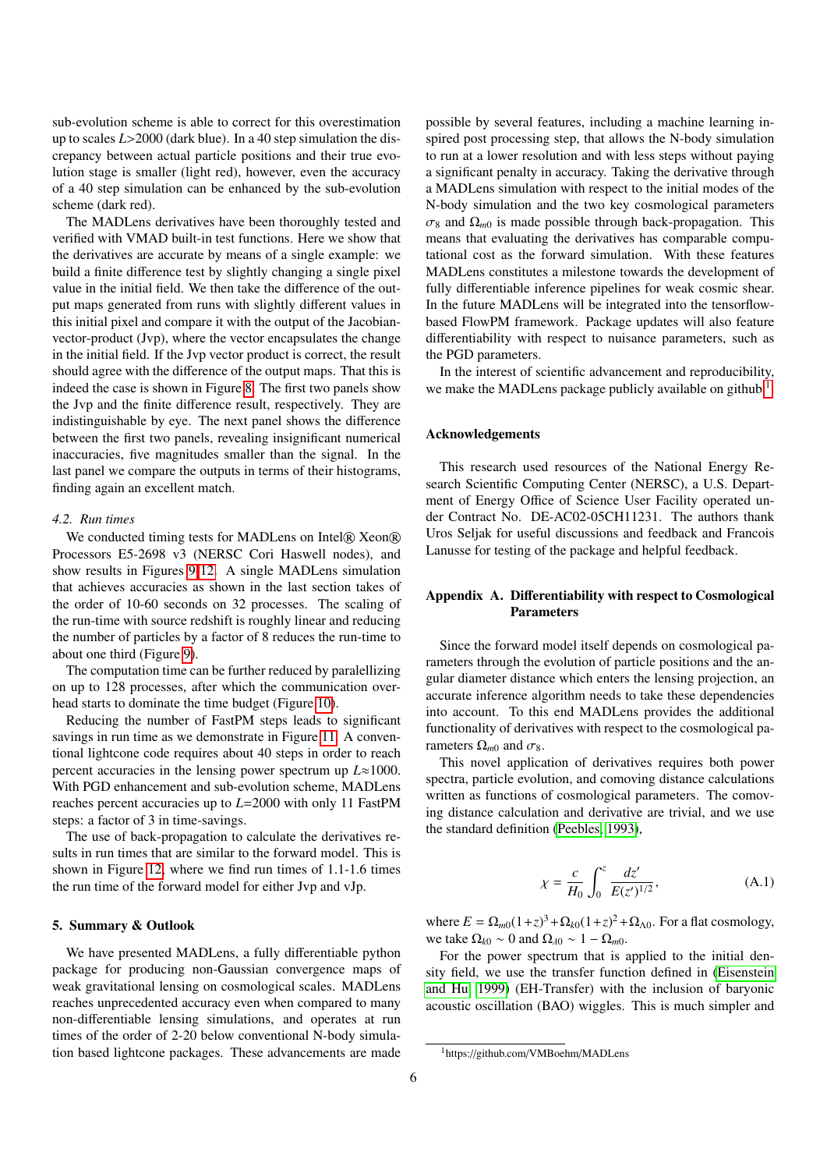sub-evolution scheme is able to correct for this overestimation up to scales *<sup>L</sup>*>2000 (dark blue). In a 40 step simulation the discrepancy between actual particle positions and their true evolution stage is smaller (light red), however, even the accuracy of a 40 step simulation can be enhanced by the sub-evolution scheme (dark red).

The MADLens derivatives have been thoroughly tested and verified with VMAD built-in test functions. Here we show that the derivatives are accurate by means of a single example: we build a finite difference test by slightly changing a single pixel value in the initial field. We then take the difference of the output maps generated from runs with slightly different values in this initial pixel and compare it with the output of the Jacobianvector-product (Jvp), where the vector encapsulates the change in the initial field. If the Jvp vector product is correct, the result should agree with the difference of the output maps. That this is indeed the case is shown in Figure [8.](#page-6-0) The first two panels show the Jvp and the finite difference result, respectively. They are indistinguishable by eye. The next panel shows the difference between the first two panels, revealing insignificant numerical inaccuracies, five magnitudes smaller than the signal. In the last panel we compare the outputs in terms of their histograms, finding again an excellent match.

#### *4.2. Run times*

We conducted timing tests for MADLens on Intel® Xeon® Processors E5-2698 v3 (NERSC Cori Haswell nodes), and show results in Figures [9](#page-6-1)[-12.](#page-7-1) A single MADLens simulation that achieves accuracies as shown in the last section takes of the order of 10-60 seconds on 32 processes. The scaling of the run-time with source redshift is roughly linear and reducing the number of particles by a factor of 8 reduces the run-time to about one third (Figure [9\)](#page-6-1).

The computation time can be further reduced by paralellizing on up to 128 processes, after which the communication overhead starts to dominate the time budget (Figure [10\)](#page-6-2).

Reducing the number of FastPM steps leads to significant savings in run time as we demonstrate in Figure [11.](#page-6-3) A conventional lightcone code requires about 40 steps in order to reach percent accuracies in the lensing power spectrum up *L*≈1000. With PGD enhancement and sub-evolution scheme, MADLens reaches percent accuracies up to *L*=2000 with only 11 FastPM steps: a factor of 3 in time-savings.

The use of back-propagation to calculate the derivatives results in run times that are similar to the forward model. This is shown in Figure [12,](#page-7-1) where we find run times of 1.1-1.6 times the run time of the forward model for either Jvp and vJp.

## <span id="page-5-0"></span>5. Summary & Outlook

We have presented MADLens, a fully differentiable python package for producing non-Gaussian convergence maps of weak gravitational lensing on cosmological scales. MADLens reaches unprecedented accuracy even when compared to many non-differentiable lensing simulations, and operates at run times of the order of 2-20 below conventional N-body simulation based lightcone packages. These advancements are made

possible by several features, including a machine learning inspired post processing step, that allows the N-body simulation to run at a lower resolution and with less steps without paying a significant penalty in accuracy. Taking the derivative through a MADLens simulation with respect to the initial modes of the N-body simulation and the two key cosmological parameters  $\sigma_8$  and  $\Omega_{m0}$  is made possible through back-propagation. This means that evaluating the derivatives has comparable computational cost as the forward simulation. With these features MADLens constitutes a milestone towards the development of fully differentiable inference pipelines for weak cosmic shear. In the future MADLens will be integrated into the tensorflowbased FlowPM framework. Package updates will also feature differentiability with respect to nuisance parameters, such as the PGD parameters.

In the interest of scientific advancement and reproducibility, we make the MADLens package publicly available on github  $<sup>1</sup>$  $<sup>1</sup>$  $<sup>1</sup>$ .</sup>

### Acknowledgements

This research used resources of the National Energy Research Scientific Computing Center (NERSC), a U.S. Department of Energy Office of Science User Facility operated under Contract No. DE-AC02-05CH11231. The authors thank Uros Seljak for useful discussions and feedback and Francois Lanusse for testing of the package and helpful feedback.

## <span id="page-5-1"></span>Appendix A. Differentiability with respect to Cosmological Parameters

Since the forward model itself depends on cosmological parameters through the evolution of particle positions and the angular diameter distance which enters the lensing projection, an accurate inference algorithm needs to take these dependencies into account. To this end MADLens provides the additional functionality of derivatives with respect to the cosmological parameters  $\Omega_{m0}$  and  $\sigma_8$ .

This novel application of derivatives requires both power spectra, particle evolution, and comoving distance calculations written as functions of cosmological parameters. The comoving distance calculation and derivative are trivial, and we use the standard definition [\(Peebles, 1993\)](#page-8-42),

$$
\chi = \frac{c}{H_0} \int_0^z \frac{dz'}{E(z')^{1/2}},
$$
\n(A.1)

where  $E = \Omega_{m0}(1+z)^3 + \Omega_{k0}(1+z)^2 + \Omega_{\Lambda 0}$ . For a flat cosmology, we take  $\Omega_{k0} \sim 0$  and  $\Omega_{\lambda 0} \sim 1 - \Omega_{m0}$ .

For the power spectrum that is applied to the initial density field, we use the transfer function defined in [\(Eisenstein](#page-8-43) [and Hu, 1999\)](#page-8-43) (EH-Transfer) with the inclusion of baryonic acoustic oscillation (BAO) wiggles. This is much simpler and

<span id="page-5-2"></span><sup>1</sup>https://github.com/VMBoehm/MADLens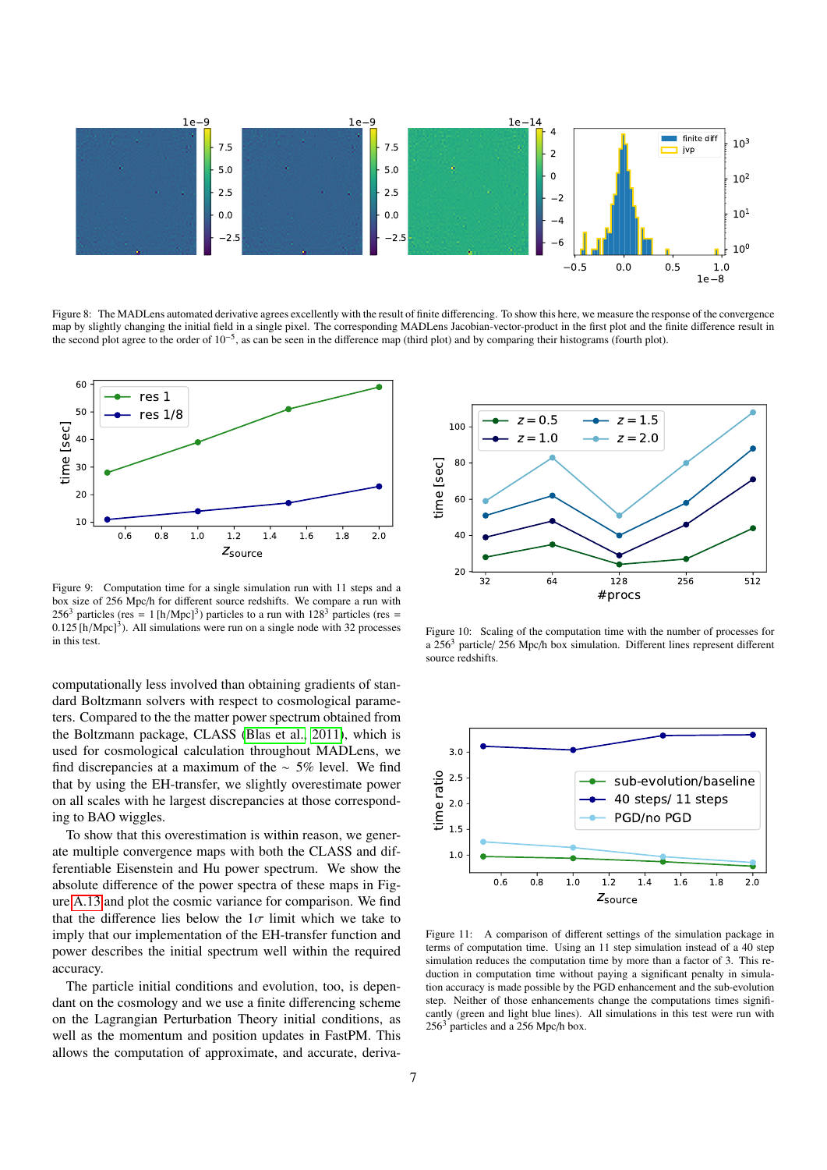

<span id="page-6-0"></span>Figure 8: The MADLens automated derivative agrees excellently with the result of finite differencing. To show this here, we measure the response of the convergence map by slightly changing the initial field in a single pixel. The corresponding MADLens Jacobian-vector-product in the first plot and the finite difference result in the second plot agree to the order of  $10^{-5}$ , as can be seen in the difference map (third plot) and by comparing their histograms (fourth plot).



<span id="page-6-1"></span>Figure 9: Computation time for a single simulation run with 11 steps and a box size of 256 Mpc/h for different source redshifts. We compare a run with 256<sup>3</sup> particles (res = 1 [h/Mpc]<sup>3</sup>) particles to a run with  $128<sup>3</sup>$  particles (res = 0.125 [h/Mpc]<sup>3</sup>). All simulations were run on a single node with 32 processes  $0.125$  [h/Mpc]<sup>3</sup>). All simulations were run on a single node with 32 processes in this test in this test.

computationally less involved than obtaining gradients of standard Boltzmann solvers with respect to cosmological parameters. Compared to the the matter power spectrum obtained from the Boltzmann package, CLASS [\(Blas et al., 2011\)](#page-8-44), which is used for cosmological calculation throughout MADLens, we find discrepancies at a maximum of the ∼ 5% level. We find that by using the EH-transfer, we slightly overestimate power on all scales with he largest discrepancies at those corresponding to BAO wiggles.

To show that this overestimation is within reason, we generate multiple convergence maps with both the CLASS and differentiable Eisenstein and Hu power spectrum. We show the absolute difference of the power spectra of these maps in Figure [A.13](#page-7-2) and plot the cosmic variance for comparison. We find that the difference lies below the  $1\sigma$  limit which we take to imply that our implementation of the EH-transfer function and power describes the initial spectrum well within the required accuracy.

The particle initial conditions and evolution, too, is dependant on the cosmology and we use a finite differencing scheme on the Lagrangian Perturbation Theory initial conditions, as well as the momentum and position updates in FastPM. This allows the computation of approximate, and accurate, deriva-



<span id="page-6-2"></span>Figure 10: Scaling of the computation time with the number of processes for a 256<sup>3</sup> particle/ 256 Mpc/h box simulation. Different lines represent different source redshifts.



<span id="page-6-3"></span>Figure 11: A comparison of different settings of the simulation package in terms of computation time. Using an 11 step simulation instead of a 40 step simulation reduces the computation time by more than a factor of 3. This reduction in computation time without paying a significant penalty in simulation accuracy is made possible by the PGD enhancement and the sub-evolution step. Neither of those enhancements change the computations times significantly (green and light blue lines). All simulations in this test were run with 256<sup>3</sup> particles and a 256 Mpc/h box.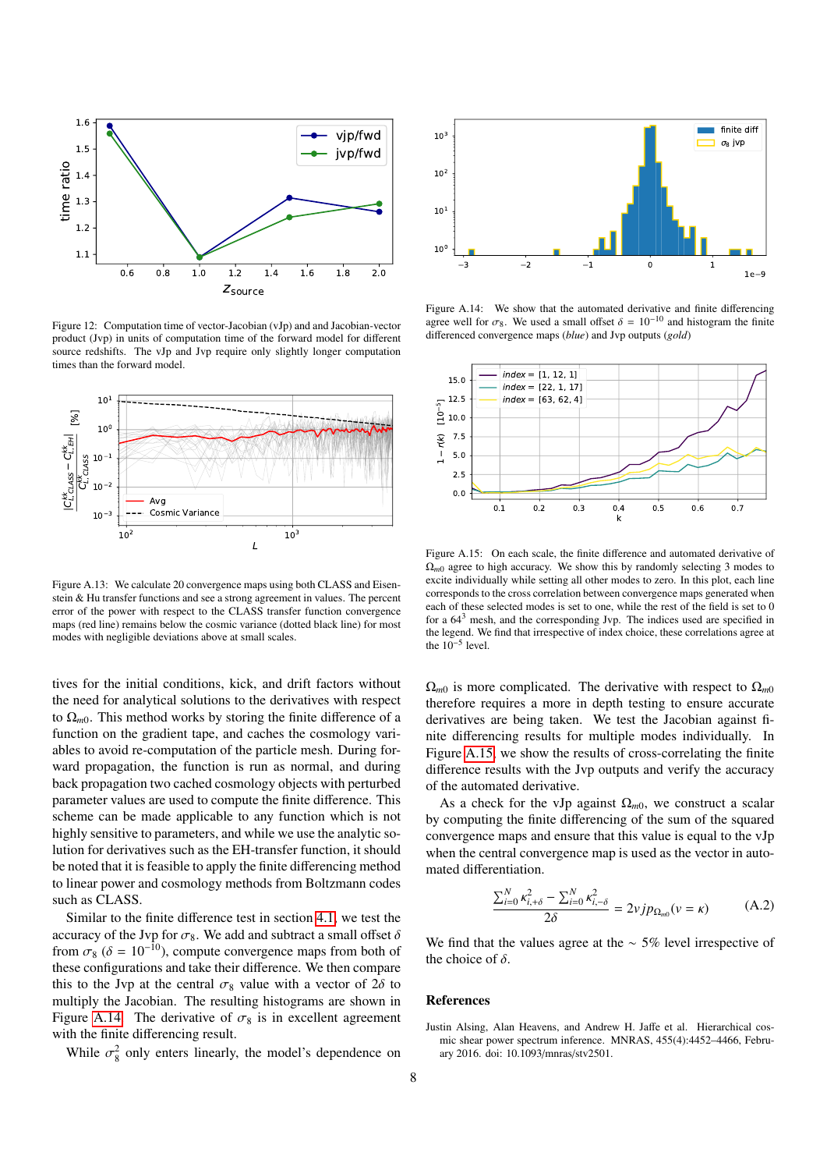

<span id="page-7-1"></span>Figure 12: Computation time of vector-Jacobian (vJp) and and Jacobian-vector product (Jvp) in units of computation time of the forward model for different source redshifts. The vJp and Jvp require only slightly longer computation times than the forward model.



<span id="page-7-2"></span>Figure A.13: We calculate 20 convergence maps using both CLASS and Eisenstein & Hu transfer functions and see a strong agreement in values. The percent error of the power with respect to the CLASS transfer function convergence maps (red line) remains below the cosmic variance (dotted black line) for most modes with negligible deviations above at small scales.

tives for the initial conditions, kick, and drift factors without the need for analytical solutions to the derivatives with respect to  $\Omega_{m0}$ . This method works by storing the finite difference of a function on the gradient tape, and caches the cosmology variables to avoid re-computation of the particle mesh. During forward propagation, the function is run as normal, and during back propagation two cached cosmology objects with perturbed parameter values are used to compute the finite difference. This scheme can be made applicable to any function which is not highly sensitive to parameters, and while we use the analytic solution for derivatives such as the EH-transfer function, it should be noted that it is feasible to apply the finite differencing method to linear power and cosmology methods from Boltzmann codes such as CLASS.

Similar to the finite difference test in section [4.1,](#page-3-3) we test the accuracy of the Jvp for  $\sigma_8$ . We add and subtract a small offset  $\delta$ from  $\sigma_8$  ( $\delta = 10^{-10}$ ), compute convergence maps from both of these configurations and take their difference. We then compare this to the Jvp at the central  $\sigma_8$  value with a vector of  $2\delta$  to multiply the Jacobian. The resulting histograms are shown in Figure [A.14.](#page-7-3) The derivative of  $\sigma_8$  is in excellent agreement with the finite differencing result.

While  $\sigma_{8}^{2}$  only enters linearly, the model's dependence on



<span id="page-7-3"></span>Figure A.14: We show that the automated derivative and finite differencing agree well for  $\sigma_8$ . We used a small offset  $\delta = 10^{-10}$  and histogram the finite differenced convergence maps (*blue*) and Jvp outputs (*gold*)



<span id="page-7-4"></span>Figure A.15: On each scale, the finite difference and automated derivative of  $\Omega_{m0}$  agree to high accuracy. We show this by randomly selecting 3 modes to excite individually while setting all other modes to zero. In this plot, each line corresponds to the cross correlation between convergence maps generated when each of these selected modes is set to one, while the rest of the field is set to 0 for a  $64<sup>3</sup>$  mesh, and the corresponding Jvp. The indices used are specified in the legend. We find that irrespective of index choice, these correlations agree at the  $10^{-5}$  level.

 $\Omega_{m0}$  is more complicated. The derivative with respect to  $\Omega_{m0}$ therefore requires a more in depth testing to ensure accurate derivatives are being taken. We test the Jacobian against finite differencing results for multiple modes individually. In Figure [A.15,](#page-7-4) we show the results of cross-correlating the finite difference results with the Jvp outputs and verify the accuracy of the automated derivative.

As a check for the vJp against  $\Omega_{m0}$ , we construct a scalar by computing the finite differencing of the sum of the squared convergence maps and ensure that this value is equal to the vJp when the central convergence map is used as the vector in automated differentiation.

$$
\frac{\sum_{i=0}^{N} \kappa_{i,+\delta}^2 - \sum_{i=0}^{N} \kappa_{i,-\delta}^2}{2\delta} = 2\nu j p_{\Omega_{m0}}(\nu = \kappa)
$$
 (A.2)

We find that the values agree at the  $\sim$  5% level irrespective of the choice of  $\delta$ .

#### References

<span id="page-7-0"></span>Justin Alsing, Alan Heavens, and Andrew H. Jaffe et al. Hierarchical cosmic shear power spectrum inference. MNRAS, 455(4):4452–4466, February 2016. doi: 10.1093/mnras/stv2501.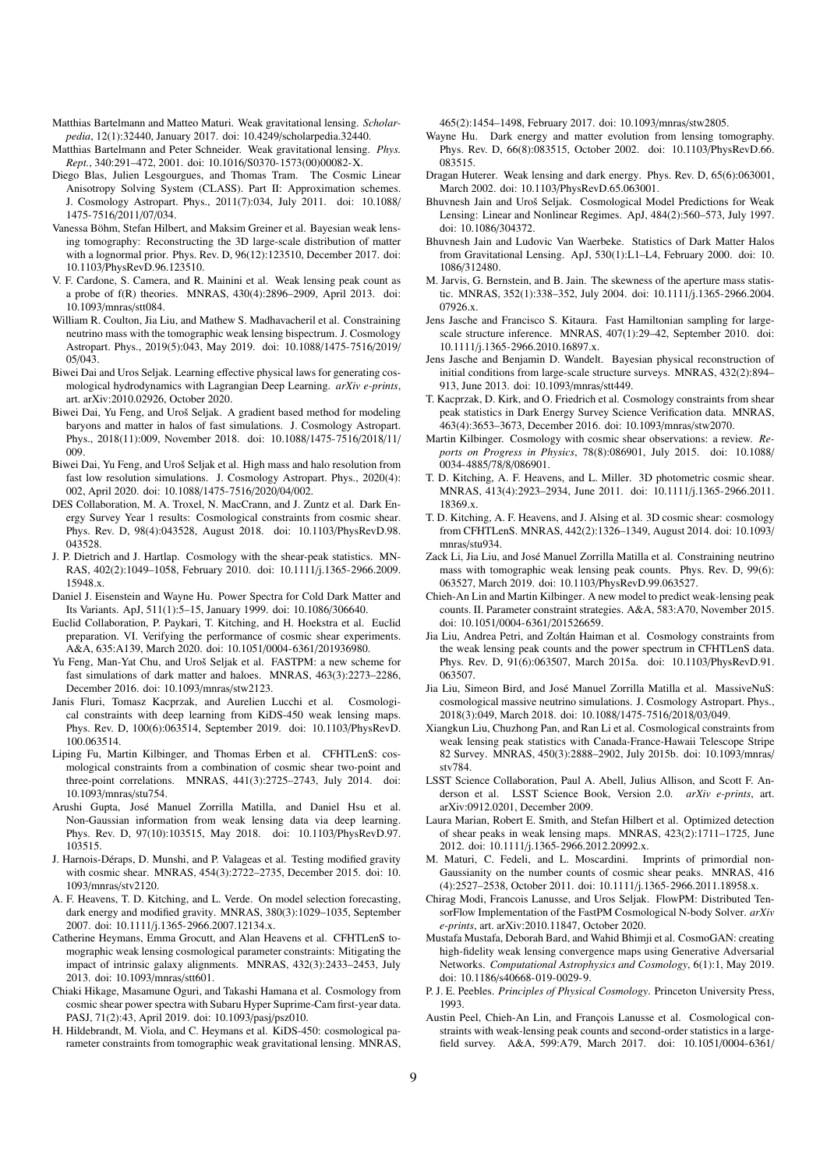- <span id="page-8-35"></span>Matthias Bartelmann and Matteo Maturi. Weak gravitational lensing. *Scholarpedia*, 12(1):32440, January 2017. doi: 10.4249/scholarpedia.32440.
- <span id="page-8-37"></span>Matthias Bartelmann and Peter Schneider. Weak gravitational lensing. *Phys. Rept.*, 340:291–472, 2001. doi: 10.1016/S0370-1573(00)00082-X.
- <span id="page-8-44"></span>Diego Blas, Julien Lesgourgues, and Thomas Tram. The Cosmic Linear Anisotropy Solving System (CLASS). Part II: Approximation schemes. J. Cosmology Astropart. Phys., 2011(7):034, July 2011. doi: 10.1088/ 1475-7516/2011/07/034.
- <span id="page-8-30"></span>Vanessa Böhm, Stefan Hilbert, and Maksim Greiner et al. Bayesian weak lensing tomography: Reconstructing the 3D large-scale distribution of matter with a lognormal prior. Phys. Rev. D, 96(12):123510, December 2017. doi: 10.1103/PhysRevD.96.123510.
- <span id="page-8-19"></span>V. F. Cardone, S. Camera, and R. Mainini et al. Weak lensing peak count as a probe of f(R) theories. MNRAS, 430(4):2896–2909, April 2013. doi: 10.1093/mnras/stt084.
- <span id="page-8-14"></span>William R. Coulton, Jia Liu, and Mathew S. Madhavacheril et al. Constraining neutrino mass with the tomographic weak lensing bispectrum. J. Cosmology Astropart. Phys., 2019(5):043, May 2019. doi: 10.1088/1475-7516/2019/ 05/043.
- <span id="page-8-34"></span>Biwei Dai and Uros Seljak. Learning effective physical laws for generating cosmological hydrodynamics with Lagrangian Deep Learning. *arXiv e-prints*, art. arXiv:2010.02926, October 2020.
- <span id="page-8-40"></span>Biwei Dai, Yu Feng, and Uroš Seljak. A gradient based method for modeling baryons and matter in halos of fast simulations. J. Cosmology Astropart. Phys., 2018(11):009, November 2018. doi: 10.1088/1475-7516/2018/11/ 009.
- <span id="page-8-33"></span>Biwei Dai, Yu Feng, and Uroš Seljak et al. High mass and halo resolution from fast low resolution simulations. J. Cosmology Astropart. Phys., 2020(4): 002, April 2020. doi: 10.1088/1475-7516/2020/04/002.
- <span id="page-8-10"></span>DES Collaboration, M. A. Troxel, N. MacCrann, and J. Zuntz et al. Dark Energy Survey Year 1 results: Cosmological constraints from cosmic shear. Phys. Rev. D, 98(4):043528, August 2018. doi: 10.1103/PhysRevD.98. 043528.
- <span id="page-8-16"></span>J. P. Dietrich and J. Hartlap. Cosmology with the shear-peak statistics. MN-RAS, 402(2):1049–1058, February 2010. doi: 10.1111/j.1365-2966.2009. 15948.x.
- <span id="page-8-43"></span>Daniel J. Eisenstein and Wayne Hu. Power Spectra for Cold Dark Matter and Its Variants. ApJ, 511(1):5–15, January 1999. doi: 10.1086/306640.
- <span id="page-8-1"></span>Euclid Collaboration, P. Paykari, T. Kitching, and H. Hoekstra et al. Euclid preparation. VI. Verifying the performance of cosmic shear experiments. A&A, 635:A139, March 2020. doi: 10.1051/0004-6361/201936980.
- <span id="page-8-38"></span>Yu Feng, Man-Yat Chu, and Uroš Seljak et al. FASTPM: a new scheme for fast simulations of dark matter and haloes. MNRAS, 463(3):2273–2286, December 2016. doi: 10.1093/mnras/stw2123.
- <span id="page-8-27"></span>Janis Fluri, Tomasz Kacprzak, and Aurelien Lucchi et al. Cosmological constraints with deep learning from KiDS-450 weak lensing maps. Phys. Rev. D, 100(6):063514, September 2019. doi: 10.1103/PhysRevD. 100.063514.
- <span id="page-8-13"></span>Liping Fu, Martin Kilbinger, and Thomas Erben et al. CFHTLenS: cosmological constraints from a combination of cosmic shear two-point and three-point correlations. MNRAS, 441(3):2725–2743, July 2014. doi: 10.1093/mnras/stu754.
- <span id="page-8-26"></span>Arushi Gupta, Jose Manuel Zorrilla Matilla, and Daniel Hsu et al. ´ Non-Gaussian information from weak lensing data via deep learning. Phys. Rev. D, 97(10):103515, May 2018. doi: 10.1103/PhysRevD.97. 103515.
- <span id="page-8-5"></span>J. Harnois-Déraps, D. Munshi, and P. Valageas et al. Testing modified gravity with cosmic shear. MNRAS, 454(3):2722–2735, December 2015. doi: 10. 1093/mnras/stv2120.
- <span id="page-8-4"></span>A. F. Heavens, T. D. Kitching, and L. Verde. On model selection forecasting, dark energy and modified gravity. MNRAS, 380(3):1029–1035, September 2007. doi: 10.1111/j.1365-2966.2007.12134.x.
- <span id="page-8-7"></span>Catherine Heymans, Emma Grocutt, and Alan Heavens et al. CFHTLenS tomographic weak lensing cosmological parameter constraints: Mitigating the impact of intrinsic galaxy alignments. MNRAS, 432(3):2433–2453, July 2013. doi: 10.1093/mnras/stt601.
- <span id="page-8-11"></span>Chiaki Hikage, Masamune Oguri, and Takashi Hamana et al. Cosmology from cosmic shear power spectra with Subaru Hyper Suprime-Cam first-year data. PASJ, 71(2):43, April 2019. doi: 10.1093/pasj/psz010.
- <span id="page-8-9"></span>H. Hildebrandt, M. Viola, and C. Heymans et al. KiDS-450: cosmological parameter constraints from tomographic weak gravitational lensing. MNRAS,

465(2):1454–1498, February 2017. doi: 10.1093/mnras/stw2805.

- <span id="page-8-2"></span>Wayne Hu. Dark energy and matter evolution from lensing tomography. Phys. Rev. D, 66(8):083515, October 2002. doi: 10.1103/PhysRevD.66. 083515.
- <span id="page-8-3"></span>Dragan Huterer. Weak lensing and dark energy. Phys. Rev. D, 65(6):063001, March 2002. doi: 10.1103/PhysRevD.65.063001.
- <span id="page-8-31"></span>Bhuvnesh Jain and Uroš Seljak. Cosmological Model Predictions for Weak Lensing: Linear and Nonlinear Regimes. ApJ, 484(2):560–573, July 1997. doi: 10.1086/304372.
- <span id="page-8-15"></span>Bhuvnesh Jain and Ludovic Van Waerbeke. Statistics of Dark Matter Halos from Gravitational Lensing. ApJ, 530(1):L1–L4, February 2000. doi: 10. 1086/312480.
- <span id="page-8-12"></span>M. Jarvis, G. Bernstein, and B. Jain. The skewness of the aperture mass statistic. MNRAS, 352(1):338–352, July 2004. doi: 10.1111/j.1365-2966.2004. 07926.x.
- <span id="page-8-28"></span>Jens Jasche and Francisco S. Kitaura. Fast Hamiltonian sampling for largescale structure inference. MNRAS, 407(1):29–42, September 2010. doi: 10.1111/j.1365-2966.2010.16897.x.
- <span id="page-8-29"></span>Jens Jasche and Benjamin D. Wandelt. Bayesian physical reconstruction of initial conditions from large-scale structure surveys. MNRAS, 432(2):894– 913, June 2013. doi: 10.1093/mnras/stt449.
- <span id="page-8-23"></span>T. Kacprzak, D. Kirk, and O. Friedrich et al. Cosmology constraints from shear peak statistics in Dark Energy Survey Science Verification data. MNRAS, 463(4):3653–3673, December 2016. doi: 10.1093/mnras/stw2070.
- <span id="page-8-36"></span>Martin Kilbinger. Cosmology with cosmic shear observations: a review. *Reports on Progress in Physics*, 78(8):086901, July 2015. doi: 10.1088/ 0034-4885/78/8/086901.
- <span id="page-8-6"></span>T. D. Kitching, A. F. Heavens, and L. Miller. 3D photometric cosmic shear. MNRAS, 413(4):2923–2934, June 2011. doi: 10.1111/j.1365-2966.2011. 18369.x.
- <span id="page-8-8"></span>T. D. Kitching, A. F. Heavens, and J. Alsing et al. 3D cosmic shear: cosmology from CFHTLenS. MNRAS, 442(2):1326–1349, August 2014. doi: 10.1093/ mnras/stu934.
- <span id="page-8-25"></span>Zack Li, Jia Liu, and Jose Manuel Zorrilla Matilla et al. Constraining neutrino ´ mass with tomographic weak lensing peak counts. Phys. Rev. D, 99(6): 063527, March 2019. doi: 10.1103/PhysRevD.99.063527.
- <span id="page-8-20"></span>Chieh-An Lin and Martin Kilbinger. A new model to predict weak-lensing peak counts. II. Parameter constraint strategies. A&A, 583:A70, November 2015. doi: 10.1051/0004-6361/201526659.
- <span id="page-8-21"></span>Jia Liu, Andrea Petri, and Zoltán Haiman et al. Cosmology constraints from the weak lensing peak counts and the power spectrum in CFHTLenS data. Phys. Rev. D, 91(6):063507, March 2015a. doi: 10.1103/PhysRevD.91. 063507.
- <span id="page-8-41"></span>Jia Liu, Simeon Bird, and Jose Manuel Zorrilla Matilla et al. MassiveNuS: ´ cosmological massive neutrino simulations. J. Cosmology Astropart. Phys., 2018(3):049, March 2018. doi: 10.1088/1475-7516/2018/03/049.
- <span id="page-8-22"></span>Xiangkun Liu, Chuzhong Pan, and Ran Li et al. Cosmological constraints from weak lensing peak statistics with Canada-France-Hawaii Telescope Stripe 82 Survey. MNRAS, 450(3):2888–2902, July 2015b. doi: 10.1093/mnras/ stv784.
- <span id="page-8-0"></span>LSST Science Collaboration, Paul A. Abell, Julius Allison, and Scott F. Anderson et al. LSST Science Book, Version 2.0. *arXiv e-prints*, art. arXiv:0912.0201, December 2009.
- <span id="page-8-18"></span>Laura Marian, Robert E. Smith, and Stefan Hilbert et al. Optimized detection of shear peaks in weak lensing maps. MNRAS, 423(2):1711–1725, June 2012. doi: 10.1111/j.1365-2966.2012.20992.x.
- <span id="page-8-17"></span>M. Maturi, C. Fedeli, and L. Moscardini. Imprints of primordial non-Gaussianity on the number counts of cosmic shear peaks. MNRAS, 416 (4):2527–2538, October 2011. doi: 10.1111/j.1365-2966.2011.18958.x.
- <span id="page-8-39"></span>Chirag Modi, Francois Lanusse, and Uros Seljak. FlowPM: Distributed TensorFlow Implementation of the FastPM Cosmological N-body Solver. *arXiv e-prints*, art. arXiv:2010.11847, October 2020.
- <span id="page-8-32"></span>Mustafa Mustafa, Deborah Bard, and Wahid Bhimji et al. CosmoGAN: creating high-fidelity weak lensing convergence maps using Generative Adversarial Networks. *Computational Astrophysics and Cosmology*, 6(1):1, May 2019. doi: 10.1186/s40668-019-0029-9.
- <span id="page-8-42"></span>P. J. E. Peebles. *Principles of Physical Cosmology*. Princeton University Press, 1993.
- <span id="page-8-24"></span>Austin Peel, Chieh-An Lin, and François Lanusse et al. Cosmological constraints with weak-lensing peak counts and second-order statistics in a largefield survey. A&A, 599:A79, March 2017. doi: 10.1051/0004-6361/